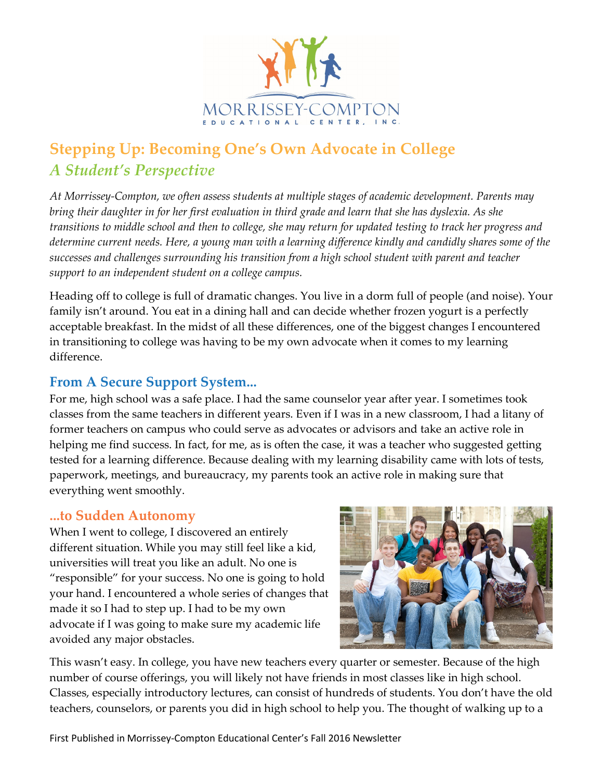

## **Stepping Up: Becoming One's Own Advocate in College** *A Student's Perspective*

*At Morrissey-Compton, we often assess students at multiple stages of academic development. Parents may bring their daughter in for her first evaluation in third grade and learn that she has dyslexia. As she transitions to middle school and then to college, she may return for updated testing to track her progress and determine current needs. Here, a young man with a learning difference kindly and candidly shares some of the successes and challenges surrounding his transition from a high school student with parent and teacher support to an independent student on a college campus.* 

Heading off to college is full of dramatic changes. You live in a dorm full of people (and noise). Your family isn't around. You eat in a dining hall and can decide whether frozen yogurt is a perfectly acceptable breakfast. In the midst of all these differences, one of the biggest changes I encountered in transitioning to college was having to be my own advocate when it comes to my learning difference.

## **From A Secure Support System...**

For me, high school was a safe place. I had the same counselor year after year. I sometimes took classes from the same teachers in different years. Even if I was in a new classroom, I had a litany of former teachers on campus who could serve as advocates or advisors and take an active role in helping me find success. In fact, for me, as is often the case, it was a teacher who suggested getting tested for a learning difference. Because dealing with my learning disability came with lots of tests, paperwork, meetings, and bureaucracy, my parents took an active role in making sure that everything went smoothly.

## **...to Sudden Autonomy**

When I went to college, I discovered an entirely different situation. While you may still feel like a kid, universities will treat you like an adult. No one is "responsible" for your success. No one is going to hold your hand. I encountered a whole series of changes that made it so I had to step up. I had to be my own advocate if I was going to make sure my academic life avoided any major obstacles.



This wasn't easy. In college, you have new teachers every quarter or semester. Because of the high number of course offerings, you will likely not have friends in most classes like in high school. Classes, especially introductory lectures, can consist of hundreds of students. You don't have the old teachers, counselors, or parents you did in high school to help you. The thought of walking up to a

First Published in Morrissey-Compton Educational Center's Fall 2016 Newsletter